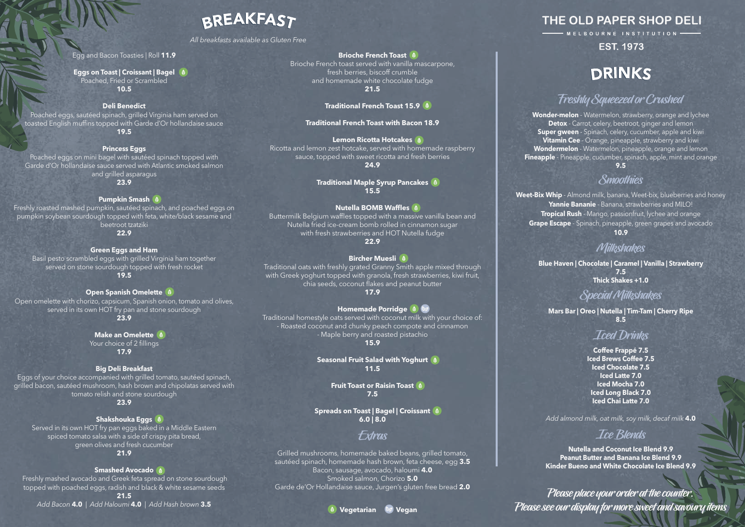Please place your order at the counter. Please see our display for more sweet and savoury items

#### **Brioche French Toast**

Brioche French toast served with vanilla mascarpone, fresh berries, biscoff crumble and homemade white chocolate fudge **21.5**

#### **Traditional French Toast 15.9**

#### **Traditional French Toast with Bacon 18.9**

**Lemon Ricotta Hotcakes** Ricotta and lemon zest hotcake, served with homemade raspberry sauce, topped with sweet ricotta and fresh berries **24.9**

> **Traditional Maple Syrup Pancakes 15.5**

#### **Nutella BOMB Waffles**

Buttermilk Belgium waffles topped with a massive vanilla bean and Nutella fried ice-cream bomb rolled in cinnamon sugar with fresh strawberries and HOT Nutella fudge **22.9**

#### **Bircher Muesli**

Traditional oats with freshly grated Granny Smith apple mixed through with Greek yoghurt topped with granola, fresh strawberries, kiwi fruit, chia seeds, coconut flakes and peanut butter **17.9**

### **Homemade Porridge**  $\bullet$   $\bullet$

Traditional homestyle oats served with coconut milk with your choice of: - Roasted coconut and chunky peach compote and cinnamon - Maple berry and roasted pistachio **15.9**

**Seasonal Fruit Salad with Yoghurt 11.5** 

> **Fruit Toast or Raisin Toast 7.5**

**Spreads on Toast | Bagel | Croissant 6.0 | 8.0**

**Make an Omelette** Your choice of 2 fillings **17.9**

> Grilled mushrooms, homemade baked beans, grilled tomato, sautéed spinach, homemade hash brown, feta cheese, egg **3.5** Bacon, sausage, avocado, haloumi **4.0** Smoked salmon, Chorizo **5.0** Garde de'Or Hollandaise sauce, Jurgen's gluten free bread **2.0**

## Extras

#### Egg and Bacon Toasties | Roll **11.9**

**Eggs on Toast | Croissant | Bagel** Poached, Fried or Scrambled **10.5**

#### **Deli Benedict**

Poached eggs, sautéed spinach, grilled Virginia ham served on toasted English muffins topped with Garde d'Or hollandaise sauce **19.5**

#### **Princess Eggs**

Poached eggs on mini bagel with sautéed spinach topped with Garde d'Or hollandaise sauce served with Atlantic smoked salmon and grilled asparagus **23.9**

#### **Pumpkin Smash**

Freshly roasted mashed pumpkin, sautéed spinach, and poached eggs on pumpkin soybean sourdough topped with feta, white/black sesame and beetroot tzatziki **22.9**

**Green Eggs and Ham**

Basil pesto scrambled eggs with grilled Virginia ham together served on stone sourdough topped with fresh rocket **19.5**

#### **Open Spanish Omelette**

Open omelette with chorizo, capsicum, Spanish onion, tomato and olives, served in its own HOT fry pan and stone sourdough **23.9**

#### **Big Deli Breakfast**

Eggs of your choice accompanied with grilled tomato, sautéed spinach, grilled bacon, sautéed mushroom, hash brown and chipolatas served with tomato relish and stone sourdough **23.9**

**Shakshouka Eggs** Served in its own HOT fry pan eggs baked in a Middle Eastern spiced tomato salsa with a side of crispy pita bread, green olives and fresh cucumber

### **21.9**

#### **Smashed Avocado**

 Freshly mashed avocado and Greek feta spread on stone sourdough topped with poached eggs, radish and black & white sesame seeds

**21.5** *Add Bacon* **4.0** *| Add Haloumi* **4.0** *| Add Hash brown* **3.5**

## **BREAKFAST**

*All breakfasts available as Gluten Free*

**Wonder-melon** - Watermelon, strawberry, orange and lychee **Detox** - Carrot, celery, beetroot, ginger and lemon **Super gween** - Spinach, celery, cucumber, apple and kiwi **Vitamin Cee** - Orange, pineapple, strawberry and kiwi **Wondermelon** - Watermelon, pineapple, orange and lemon **Fineapple** - Pineapple, cucumber, spinach, apple, mint and orange **9.5**

**Weet-Bix Whip** - Almond milk, banana, Weet-bix, blueberries and honey **Yannie Bananie** - Banana, strawberries and MILO! **Tropical Rush** - Mango, passionfruit, lychee and orange **Grape Escape** - Spinach, pineapple, green grapes and avocado **10.9**

## Smoothies

## DRINKS

## **Freshly Squeezed or Crushed**

**Blue Haven | Chocolate | Caramel | Vanilla | Strawberry 7.5**

**Thick Shakes +1.0**

## Milkshakes

**Mars Bar | Oreo | Nutella | Tim-Tam | Cherry Ripe 8.5**

## **Iced Drinks**

## Special Milkshakes

**Coffee Frappé 7.5 Iced Brews Coffee 7.5 Iced Chocolate 7.5 Iced Latte 7.0 Iced Mocha 7.0 Iced Long Black 7.0 Iced Chai Latte 7.0**

*Add almond milk, oat milk, soy milk, decaf milk* **4.0** 

**Nutella and Coconut Ice Blend 9.9 Peanut Butter and Banana Ice Blend 9.9 Kinder Bueno and White Chocolate Ice Blend 9.9**

## Ice Blends



## THE OLD PAPER SHOP DELI

MELBOURNE INSTITUTION -

## **EST. 1973**